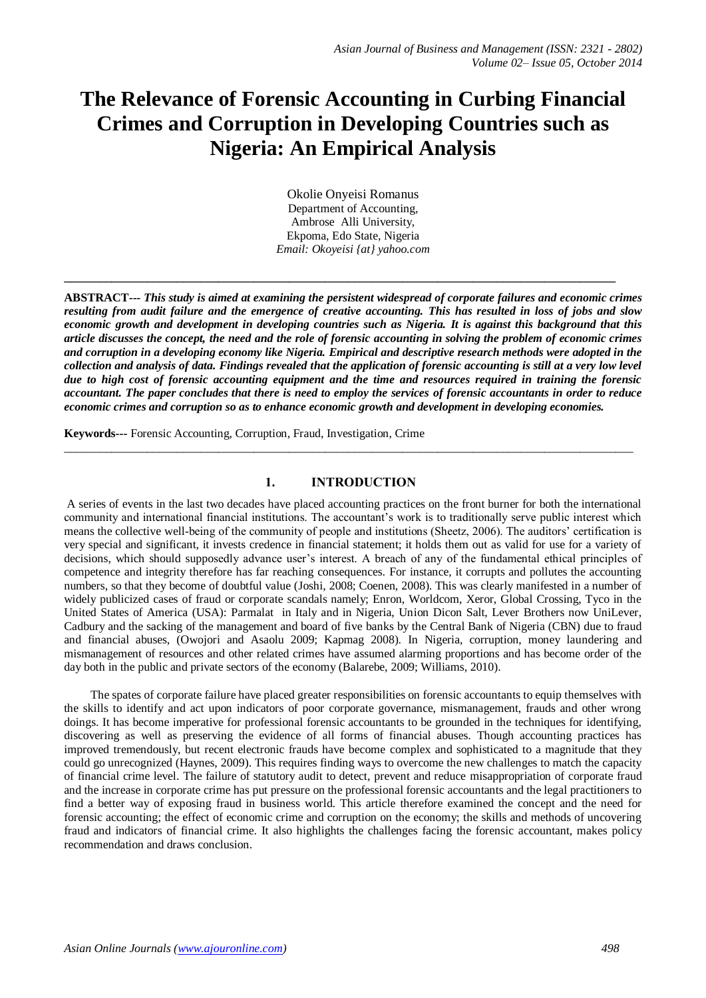# **The Relevance of Forensic Accounting in Curbing Financial Crimes and Corruption in Developing Countries such as Nigeria: An Empirical Analysis**

Okolie Onyeisi Romanus Department of Accounting, Ambrose Alli University, Ekpoma, Edo State, Nigeria *Email: Okoyeisi {at} yahoo.com*

**\_\_\_\_\_\_\_\_\_\_\_\_\_\_\_\_\_\_\_\_\_\_\_\_\_\_\_\_\_\_\_\_\_\_\_\_\_\_\_\_\_\_\_\_\_\_\_\_\_\_\_\_\_\_\_\_\_\_\_\_\_\_\_\_\_\_\_\_\_\_\_\_\_\_\_\_\_\_\_\_\_\_\_\_\_\_\_\_\_\_\_\_\_**

**ABSTRACT---** *This study is aimed at examining the persistent widespread of corporate failures and economic crimes resulting from audit failure and the emergence of creative accounting. This has resulted in loss of jobs and slow economic growth and development in developing countries such as Nigeria. It is against this background that this article discusses the concept, the need and the role of forensic accounting in solving the problem of economic crimes and corruption in a developing economy like Nigeria. Empirical and descriptive research methods were adopted in the collection and analysis of data. Findings revealed that the application of forensic accounting is still at a very low level due to high cost of forensic accounting equipment and the time and resources required in training the forensic accountant. The paper concludes that there is need to employ the services of forensic accountants in order to reduce economic crimes and corruption so as to enhance economic growth and development in developing economies.* 

**Keywords---** Forensic Accounting, Corruption, Fraud, Investigation, Crime

# **1. INTRODUCTION**

 $\_$  ,  $\_$  ,  $\_$  ,  $\_$  ,  $\_$  ,  $\_$  ,  $\_$  ,  $\_$  ,  $\_$  ,  $\_$  ,  $\_$  ,  $\_$  ,  $\_$  ,  $\_$  ,  $\_$  ,  $\_$  ,  $\_$  ,  $\_$  ,  $\_$  ,  $\_$  ,  $\_$  ,  $\_$  ,  $\_$  ,  $\_$  ,  $\_$  ,  $\_$  ,  $\_$  ,  $\_$  ,  $\_$  ,  $\_$  ,  $\_$  ,  $\_$  ,  $\_$  ,  $\_$  ,  $\_$  ,  $\_$  ,  $\_$  ,

A series of events in the last two decades have placed accounting practices on the front burner for both the international community and international financial institutions. The accountant's work is to traditionally serve public interest which means the collective well-being of the community of people and institutions (Sheetz, 2006). The auditors' certification is very special and significant, it invests credence in financial statement; it holds them out as valid for use for a variety of decisions, which should supposedly advance user's interest. A breach of any of the fundamental ethical principles of competence and integrity therefore has far reaching consequences. For instance, it corrupts and pollutes the accounting numbers, so that they become of doubtful value (Joshi, 2008; Coenen, 2008). This was clearly manifested in a number of widely publicized cases of fraud or corporate scandals namely; Enron, Worldcom, Xeror, Global Crossing, Tyco in the United States of America (USA): Parmalat in Italy and in Nigeria, Union Dicon Salt, Lever Brothers now UniLever, Cadbury and the sacking of the management and board of five banks by the Central Bank of Nigeria (CBN) due to fraud and financial abuses, (Owojori and Asaolu 2009; Kapmag 2008). In Nigeria, corruption, money laundering and mismanagement of resources and other related crimes have assumed alarming proportions and has become order of the day both in the public and private sectors of the economy (Balarebe, 2009; Williams, 2010).

 The spates of corporate failure have placed greater responsibilities on forensic accountants to equip themselves with the skills to identify and act upon indicators of poor corporate governance, mismanagement, frauds and other wrong doings. It has become imperative for professional forensic accountants to be grounded in the techniques for identifying, discovering as well as preserving the evidence of all forms of financial abuses. Though accounting practices has improved tremendously, but recent electronic frauds have become complex and sophisticated to a magnitude that they could go unrecognized (Haynes, 2009). This requires finding ways to overcome the new challenges to match the capacity of financial crime level. The failure of statutory audit to detect, prevent and reduce misappropriation of corporate fraud and the increase in corporate crime has put pressure on the professional forensic accountants and the legal practitioners to find a better way of exposing fraud in business world. This article therefore examined the concept and the need for forensic accounting; the effect of economic crime and corruption on the economy; the skills and methods of uncovering fraud and indicators of financial crime. It also highlights the challenges facing the forensic accountant, makes policy recommendation and draws conclusion.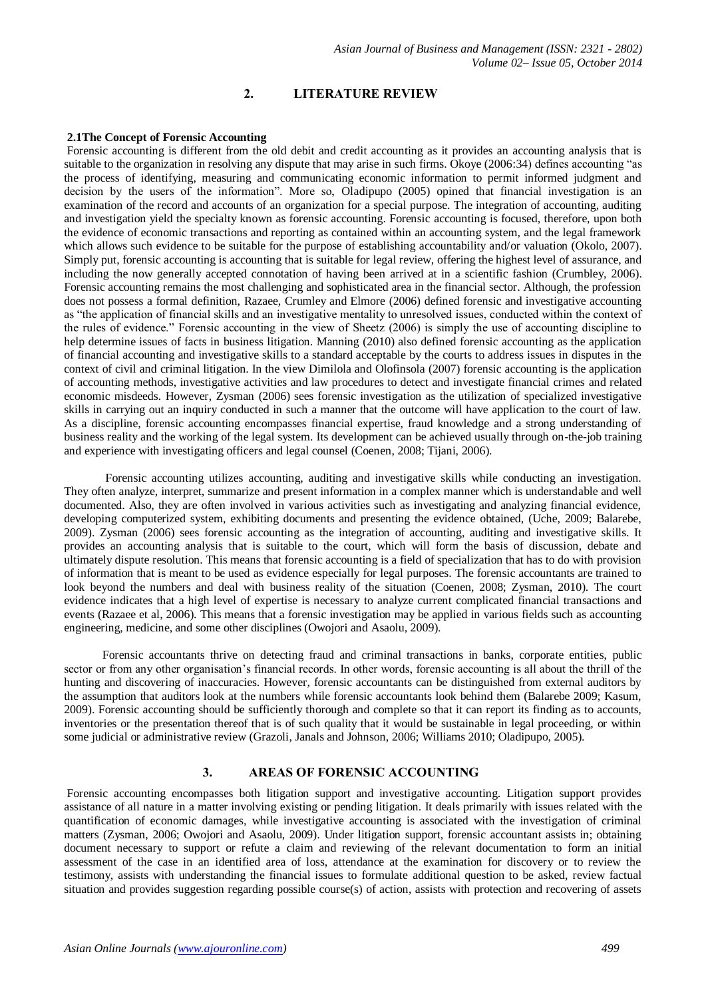# **2. LITERATURE REVIEW**

# **2.1The Concept of Forensic Accounting**

Forensic accounting is different from the old debit and credit accounting as it provides an accounting analysis that is suitable to the organization in resolving any dispute that may arise in such firms. Okoye (2006:34) defines accounting "as the process of identifying, measuring and communicating economic information to permit informed judgment and decision by the users of the information". More so, Oladipupo (2005) opined that financial investigation is an examination of the record and accounts of an organization for a special purpose. The integration of accounting, auditing and investigation yield the specialty known as forensic accounting. Forensic accounting is focused, therefore, upon both the evidence of economic transactions and reporting as contained within an accounting system, and the legal framework which allows such evidence to be suitable for the purpose of establishing accountability and/or valuation (Okolo, 2007). Simply put, forensic accounting is accounting that is suitable for legal review, offering the highest level of assurance, and including the now generally accepted connotation of having been arrived at in a scientific fashion (Crumbley, 2006). Forensic accounting remains the most challenging and sophisticated area in the financial sector. Although, the profession does not possess a formal definition, Razaee, Crumley and Elmore (2006) defined forensic and investigative accounting as "the application of financial skills and an investigative mentality to unresolved issues, conducted within the context of the rules of evidence." Forensic accounting in the view of Sheetz (2006) is simply the use of accounting discipline to help determine issues of facts in business litigation. Manning (2010) also defined forensic accounting as the application of financial accounting and investigative skills to a standard acceptable by the courts to address issues in disputes in the context of civil and criminal litigation. In the view Dimilola and Olofinsola (2007) forensic accounting is the application of accounting methods, investigative activities and law procedures to detect and investigate financial crimes and related economic misdeeds. However, Zysman (2006) sees forensic investigation as the utilization of specialized investigative skills in carrying out an inquiry conducted in such a manner that the outcome will have application to the court of law. As a discipline, forensic accounting encompasses financial expertise, fraud knowledge and a strong understanding of business reality and the working of the legal system. Its development can be achieved usually through on-the-job training and experience with investigating officers and legal counsel (Coenen, 2008; Tijani, 2006).

 Forensic accounting utilizes accounting, auditing and investigative skills while conducting an investigation. They often analyze, interpret, summarize and present information in a complex manner which is understandable and well documented. Also, they are often involved in various activities such as investigating and analyzing financial evidence, developing computerized system, exhibiting documents and presenting the evidence obtained, (Uche, 2009; Balarebe, 2009). Zysman (2006) sees forensic accounting as the integration of accounting, auditing and investigative skills. It provides an accounting analysis that is suitable to the court, which will form the basis of discussion, debate and ultimately dispute resolution. This means that forensic accounting is a field of specialization that has to do with provision of information that is meant to be used as evidence especially for legal purposes. The forensic accountants are trained to look beyond the numbers and deal with business reality of the situation (Coenen, 2008; Zysman, 2010). The court evidence indicates that a high level of expertise is necessary to analyze current complicated financial transactions and events (Razaee et al, 2006). This means that a forensic investigation may be applied in various fields such as accounting engineering, medicine, and some other disciplines (Owojori and Asaolu, 2009).

 Forensic accountants thrive on detecting fraud and criminal transactions in banks, corporate entities, public sector or from any other organisation's financial records. In other words, forensic accounting is all about the thrill of the hunting and discovering of inaccuracies. However, forensic accountants can be distinguished from external auditors by the assumption that auditors look at the numbers while forensic accountants look behind them (Balarebe 2009; Kasum, 2009). Forensic accounting should be sufficiently thorough and complete so that it can report its finding as to accounts, inventories or the presentation thereof that is of such quality that it would be sustainable in legal proceeding, or within some judicial or administrative review (Grazoli, Janals and Johnson, 2006; Williams 2010; Oladipupo, 2005).

# **3. AREAS OF FORENSIC ACCOUNTING**

Forensic accounting encompasses both litigation support and investigative accounting. Litigation support provides assistance of all nature in a matter involving existing or pending litigation. It deals primarily with issues related with the quantification of economic damages, while investigative accounting is associated with the investigation of criminal matters (Zysman, 2006; Owojori and Asaolu, 2009). Under litigation support, forensic accountant assists in; obtaining document necessary to support or refute a claim and reviewing of the relevant documentation to form an initial assessment of the case in an identified area of loss, attendance at the examination for discovery or to review the testimony, assists with understanding the financial issues to formulate additional question to be asked, review factual situation and provides suggestion regarding possible course(s) of action, assists with protection and recovering of assets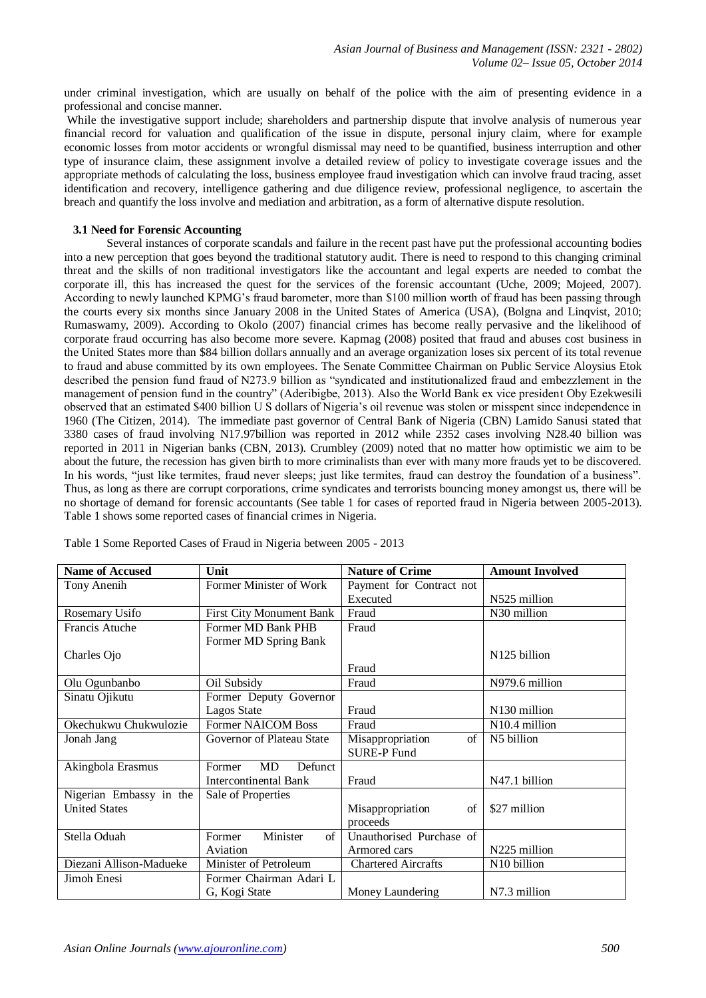under criminal investigation, which are usually on behalf of the police with the aim of presenting evidence in a professional and concise manner.

While the investigative support include; shareholders and partnership dispute that involve analysis of numerous year financial record for valuation and qualification of the issue in dispute, personal injury claim, where for example economic losses from motor accidents or wrongful dismissal may need to be quantified, business interruption and other type of insurance claim, these assignment involve a detailed review of policy to investigate coverage issues and the appropriate methods of calculating the loss, business employee fraud investigation which can involve fraud tracing, asset identification and recovery, intelligence gathering and due diligence review, professional negligence, to ascertain the breach and quantify the loss involve and mediation and arbitration, as a form of alternative dispute resolution.

# **3.1 Need for Forensic Accounting**

Several instances of corporate scandals and failure in the recent past have put the professional accounting bodies into a new perception that goes beyond the traditional statutory audit. There is need to respond to this changing criminal threat and the skills of non traditional investigators like the accountant and legal experts are needed to combat the corporate ill, this has increased the quest for the services of the forensic accountant (Uche, 2009; Mojeed, 2007). According to newly launched KPMG's fraud barometer, more than \$100 million worth of fraud has been passing through the courts every six months since January 2008 in the United States of America (USA), (Bolgna and Linqvist, 2010; Rumaswamy, 2009). According to Okolo (2007) financial crimes has become really pervasive and the likelihood of corporate fraud occurring has also become more severe. Kapmag (2008) posited that fraud and abuses cost business in the United States more than \$84 billion dollars annually and an average organization loses six percent of its total revenue to fraud and abuse committed by its own employees. The Senate Committee Chairman on Public Service Aloysius Etok described the pension fund fraud of N273.9 billion as "syndicated and institutionalized fraud and embezzlement in the management of pension fund in the country" (Aderibigbe, 2013). Also the World Bank ex vice president Oby Ezekwesili observed that an estimated \$400 billion U S dollars of Nigeria's oil revenue was stolen or misspent since independence in 1960 (The Citizen, 2014). The immediate past governor of Central Bank of Nigeria (CBN) Lamido Sanusi stated that 3380 cases of fraud involving N17.97billion was reported in 2012 while 2352 cases involving N28.40 billion was reported in 2011 in Nigerian banks (CBN, 2013). Crumbley (2009) noted that no matter how optimistic we aim to be about the future, the recession has given birth to more criminalists than ever with many more frauds yet to be discovered. In his words, "just like termites, fraud never sleeps; just like termites, fraud can destroy the foundation of a business". Thus, as long as there are corrupt corporations, crime syndicates and terrorists bouncing money amongst us, there will be no shortage of demand for forensic accountants (See table 1 for cases of reported fraud in Nigeria between 2005-2013). Table 1 shows some reported cases of financial crimes in Nigeria.

| <b>Name of Accused</b>  | Unit                            | <b>Nature of Crime</b>     | <b>Amount Involved</b>   |
|-------------------------|---------------------------------|----------------------------|--------------------------|
| Tony Anenih             | Former Minister of Work         | Payment for Contract not   |                          |
|                         |                                 | Executed                   | N525 million             |
| Rosemary Usifo          | <b>First City Monument Bank</b> | Fraud                      | N30 million              |
| Francis Atuche          | Former MD Bank PHB              | Fraud                      |                          |
|                         | Former MD Spring Bank           |                            |                          |
| Charles Ojo             |                                 |                            | N <sub>125</sub> billion |
|                         |                                 | Fraud                      |                          |
| Olu Ogunbanbo           | Oil Subsidy                     | Fraud                      | N979.6 million           |
| Sinatu Ojikutu          | Former Deputy Governor          |                            |                          |
|                         | Lagos State                     | Fraud                      | N130 million             |
| Okechukwu Chukwulozie   | <b>Former NAICOM Boss</b>       | Fraud                      | N10.4 million            |
| Jonah Jang              | Governor of Plateau State       | Misappropriation<br>of     | N5 billion               |
|                         |                                 | <b>SURE-P Fund</b>         |                          |
| Akingbola Erasmus       | MD<br>Defunct<br>Former         |                            |                          |
|                         | Intercontinental Bank           | Fraud                      | N47.1 billion            |
| Nigerian Embassy in the | Sale of Properties              |                            |                          |
| <b>United States</b>    |                                 | Misappropriation<br>of     | \$27 million             |
|                         |                                 | proceeds                   |                          |
| Stella Oduah            | Minister<br>of<br>Former        | Unauthorised Purchase of   |                          |
|                         | Aviation                        | Armored cars               | N225 million             |
| Diezani Allison-Madueke | Minister of Petroleum           | <b>Chartered Aircrafts</b> | N10 billion              |
| Jimoh Enesi             | Former Chairman Adari L         |                            |                          |
|                         | G, Kogi State                   | Money Laundering           | N7.3 million             |

Table 1 Some Reported Cases of Fraud in Nigeria between 2005 - 2013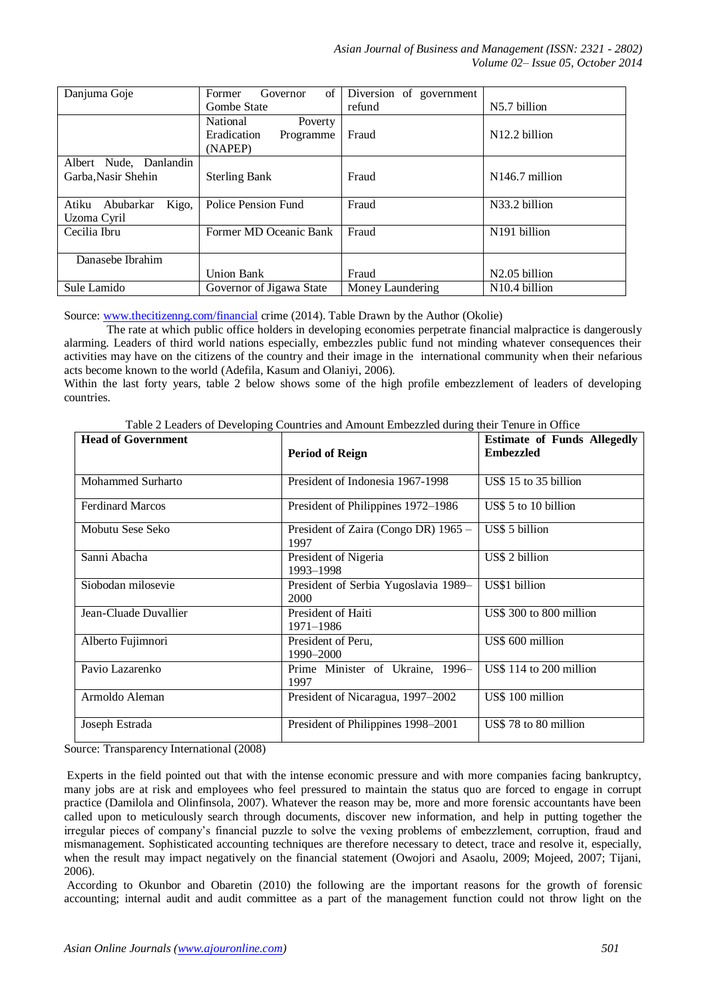*Asian Journal of Business and Management (ISSN: 2321 - 2802) Volume 02– Issue 05, October 2014*

| Danjuma Goje                                  | of<br>Governor<br>Former                                   | Diversion of government |                            |
|-----------------------------------------------|------------------------------------------------------------|-------------------------|----------------------------|
|                                               | <b>Gombe State</b>                                         | refund                  | N5.7 billion               |
|                                               | National<br>Poverty<br>Eradication<br>Programme<br>(NAPEP) | Fraud                   | $N12.2$ billion            |
| Albert Nude, Danlandin<br>Garba, Nasir Shehin | <b>Sterling Bank</b>                                       | Fraud                   | N <sub>146.7</sub> million |
| Kigo,<br>Atiku<br>Abubarkar<br>Uzoma Cyril    | Police Pension Fund                                        | Fraud                   | N33.2 billion              |
| Cecilia Ibru                                  | Former MD Oceanic Bank                                     | Fraud                   | N191 billion               |
| Danasebe Ibrahim                              |                                                            |                         |                            |
|                                               | <b>Union Bank</b>                                          | Fraud                   | N <sub>2.05</sub> billion  |
| Sule Lamido                                   | Governor of Jigawa State                                   | Money Laundering        | N <sub>10.4</sub> billion  |

Source: [www.thecitizenng.com/financial](http://www.thecitizenng.com/financial) crime (2014). Table Drawn by the Author (Okolie)

The rate at which public office holders in developing economies perpetrate financial malpractice is dangerously alarming. Leaders of third world nations especially, embezzles public fund not minding whatever consequences their activities may have on the citizens of the country and their image in the international community when their nefarious acts become known to the world (Adefila, Kasum and Olaniyi, 2006).

Within the last forty years, table 2 below shows some of the high profile embezzlement of leaders of developing countries.

| raone 2 Ecaders of Developing Countries and Amount EmocELica during their Tenare in Office<br><b>Head of Government</b> |                                              |                                                        |  |  |
|-------------------------------------------------------------------------------------------------------------------------|----------------------------------------------|--------------------------------------------------------|--|--|
|                                                                                                                         | <b>Period of Reign</b>                       | <b>Estimate of Funds Allegedly</b><br><b>Embezzled</b> |  |  |
| Mohammed Surharto                                                                                                       | President of Indonesia 1967-1998             | US\$ 15 to 35 billion                                  |  |  |
| <b>Ferdinard Marcos</b>                                                                                                 | President of Philippines 1972-1986           | US\$ 5 to 10 billion                                   |  |  |
| Mobutu Sese Seko                                                                                                        | President of Zaira (Congo DR) 1965 -<br>1997 | US\$ 5 billion                                         |  |  |
| Sanni Abacha                                                                                                            | President of Nigeria<br>1993-1998            | US\$ 2 billion                                         |  |  |
| Siobodan milosevie                                                                                                      | President of Serbia Yugoslavia 1989-<br>2000 | US\$1 billion                                          |  |  |
| Jean-Cluade Duvallier                                                                                                   | President of Haiti<br>1971-1986              | US\$ 300 to 800 million                                |  |  |
| Alberto Fujimnori                                                                                                       | President of Peru,<br>1990-2000              | US\$ 600 million                                       |  |  |
| Pavio Lazarenko                                                                                                         | Prime Minister of Ukraine, 1996-<br>1997     | US\$ 114 to 200 million                                |  |  |
| Armoldo Aleman                                                                                                          | President of Nicaragua, 1997-2002            | US\$ 100 million                                       |  |  |
| Joseph Estrada                                                                                                          | President of Philippines 1998-2001           | US\$78 to 80 million                                   |  |  |

Table 2 Leaders of Developing Countries and Amount Embezzled during their Tenure in Office

Source: Transparency International (2008)

Experts in the field pointed out that with the intense economic pressure and with more companies facing bankruptcy, many jobs are at risk and employees who feel pressured to maintain the status quo are forced to engage in corrupt practice (Damilola and Olinfinsola, 2007). Whatever the reason may be, more and more forensic accountants have been called upon to meticulously search through documents, discover new information, and help in putting together the irregular pieces of company's financial puzzle to solve the vexing problems of embezzlement, corruption, fraud and mismanagement. Sophisticated accounting techniques are therefore necessary to detect, trace and resolve it, especially, when the result may impact negatively on the financial statement (Owojori and Asaolu, 2009; Mojeed, 2007; Tijani, 2006).

According to Okunbor and Obaretin (2010) the following are the important reasons for the growth of forensic accounting; internal audit and audit committee as a part of the management function could not throw light on the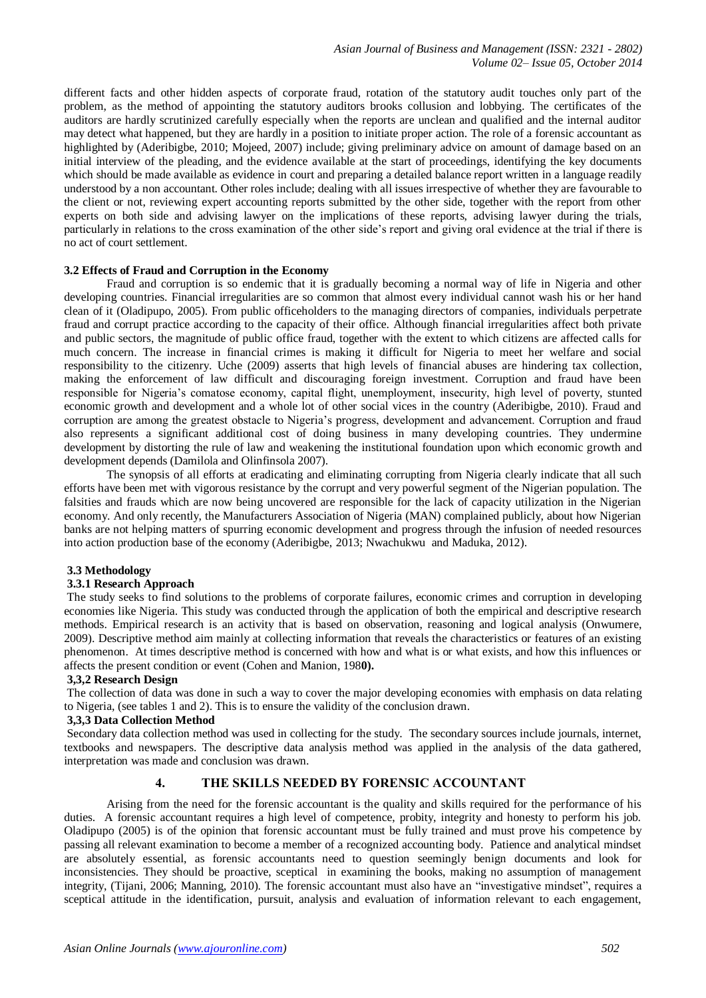different facts and other hidden aspects of corporate fraud, rotation of the statutory audit touches only part of the problem, as the method of appointing the statutory auditors brooks collusion and lobbying. The certificates of the auditors are hardly scrutinized carefully especially when the reports are unclean and qualified and the internal auditor may detect what happened, but they are hardly in a position to initiate proper action. The role of a forensic accountant as highlighted by (Aderibigbe, 2010; Mojeed, 2007) include; giving preliminary advice on amount of damage based on an initial interview of the pleading, and the evidence available at the start of proceedings, identifying the key documents which should be made available as evidence in court and preparing a detailed balance report written in a language readily understood by a non accountant. Other roles include; dealing with all issues irrespective of whether they are favourable to the client or not, reviewing expert accounting reports submitted by the other side, together with the report from other experts on both side and advising lawyer on the implications of these reports, advising lawyer during the trials, particularly in relations to the cross examination of the other side's report and giving oral evidence at the trial if there is no act of court settlement.

# **3.2 Effects of Fraud and Corruption in the Economy**

Fraud and corruption is so endemic that it is gradually becoming a normal way of life in Nigeria and other developing countries. Financial irregularities are so common that almost every individual cannot wash his or her hand clean of it (Oladipupo, 2005). From public officeholders to the managing directors of companies, individuals perpetrate fraud and corrupt practice according to the capacity of their office. Although financial irregularities affect both private and public sectors, the magnitude of public office fraud, together with the extent to which citizens are affected calls for much concern. The increase in financial crimes is making it difficult for Nigeria to meet her welfare and social responsibility to the citizenry. Uche (2009) asserts that high levels of financial abuses are hindering tax collection, making the enforcement of law difficult and discouraging foreign investment. Corruption and fraud have been responsible for Nigeria's comatose economy, capital flight, unemployment, insecurity, high level of poverty, stunted economic growth and development and a whole lot of other social vices in the country (Aderibigbe, 2010). Fraud and corruption are among the greatest obstacle to Nigeria's progress, development and advancement. Corruption and fraud also represents a significant additional cost of doing business in many developing countries. They undermine development by distorting the rule of law and weakening the institutional foundation upon which economic growth and development depends (Damilola and Olinfinsola 2007).

The synopsis of all efforts at eradicating and eliminating corrupting from Nigeria clearly indicate that all such efforts have been met with vigorous resistance by the corrupt and very powerful segment of the Nigerian population. The falsities and frauds which are now being uncovered are responsible for the lack of capacity utilization in the Nigerian economy. And only recently, the Manufacturers Association of Nigeria (MAN) complained publicly, about how Nigerian banks are not helping matters of spurring economic development and progress through the infusion of needed resources into action production base of the economy (Aderibigbe, 2013; Nwachukwu and Maduka, 2012).

# **3.3 Methodology**

#### **3.3.1 Research Approach**

The study seeks to find solutions to the problems of corporate failures, economic crimes and corruption in developing economies like Nigeria. This study was conducted through the application of both the empirical and descriptive research methods. Empirical research is an activity that is based on observation, reasoning and logical analysis (Onwumere, 2009). Descriptive method aim mainly at collecting information that reveals the characteristics or features of an existing phenomenon. At times descriptive method is concerned with how and what is or what exists, and how this influences or affects the present condition or event (Cohen and Manion, 198**0).**

# **3,3,2 Research Design**

The collection of data was done in such a way to cover the major developing economies with emphasis on data relating to Nigeria, (see tables 1 and 2). This is to ensure the validity of the conclusion drawn.

# **3,3,3 Data Collection Method**

Secondary data collection method was used in collecting for the study. The secondary sources include journals, internet, textbooks and newspapers. The descriptive data analysis method was applied in the analysis of the data gathered, interpretation was made and conclusion was drawn.

# **4. THE SKILLS NEEDED BY FORENSIC ACCOUNTANT**

Arising from the need for the forensic accountant is the quality and skills required for the performance of his duties. A forensic accountant requires a high level of competence, probity, integrity and honesty to perform his job. Oladipupo (2005) is of the opinion that forensic accountant must be fully trained and must prove his competence by passing all relevant examination to become a member of a recognized accounting body. Patience and analytical mindset are absolutely essential, as forensic accountants need to question seemingly benign documents and look for inconsistencies. They should be proactive, sceptical in examining the books, making no assumption of management integrity, (Tijani, 2006; Manning, 2010). The forensic accountant must also have an "investigative mindset", requires a sceptical attitude in the identification, pursuit, analysis and evaluation of information relevant to each engagement,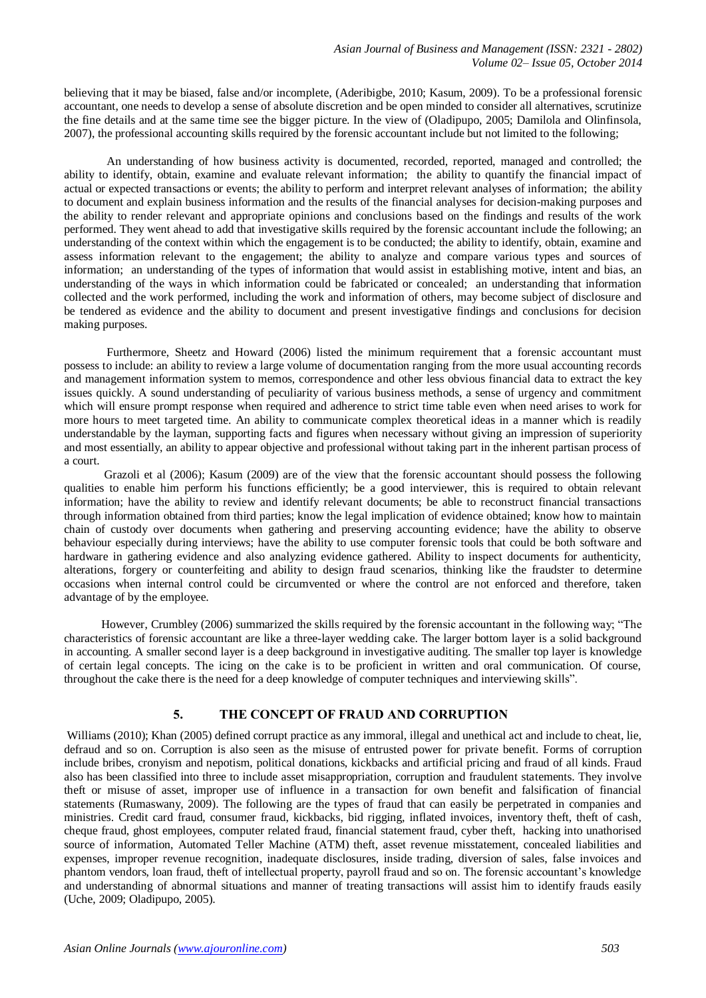believing that it may be biased, false and/or incomplete, (Aderibigbe, 2010; Kasum, 2009). To be a professional forensic accountant, one needs to develop a sense of absolute discretion and be open minded to consider all alternatives, scrutinize the fine details and at the same time see the bigger picture. In the view of (Oladipupo, 2005; Damilola and Olinfinsola, 2007), the professional accounting skills required by the forensic accountant include but not limited to the following;

An understanding of how business activity is documented, recorded, reported, managed and controlled; the ability to identify, obtain, examine and evaluate relevant information; the ability to quantify the financial impact of actual or expected transactions or events; the ability to perform and interpret relevant analyses of information; the ability to document and explain business information and the results of the financial analyses for decision-making purposes and the ability to render relevant and appropriate opinions and conclusions based on the findings and results of the work performed. They went ahead to add that investigative skills required by the forensic accountant include the following; an understanding of the context within which the engagement is to be conducted; the ability to identify, obtain, examine and assess information relevant to the engagement; the ability to analyze and compare various types and sources of information; an understanding of the types of information that would assist in establishing motive, intent and bias, an understanding of the ways in which information could be fabricated or concealed; an understanding that information collected and the work performed, including the work and information of others, may become subject of disclosure and be tendered as evidence and the ability to document and present investigative findings and conclusions for decision making purposes.

Furthermore, Sheetz and Howard (2006) listed the minimum requirement that a forensic accountant must possess to include: an ability to review a large volume of documentation ranging from the more usual accounting records and management information system to memos, correspondence and other less obvious financial data to extract the key issues quickly. A sound understanding of peculiarity of various business methods, a sense of urgency and commitment which will ensure prompt response when required and adherence to strict time table even when need arises to work for more hours to meet targeted time. An ability to communicate complex theoretical ideas in a manner which is readily understandable by the layman, supporting facts and figures when necessary without giving an impression of superiority and most essentially, an ability to appear objective and professional without taking part in the inherent partisan process of a court.

Grazoli et al (2006); Kasum (2009) are of the view that the forensic accountant should possess the following qualities to enable him perform his functions efficiently; be a good interviewer, this is required to obtain relevant information; have the ability to review and identify relevant documents; be able to reconstruct financial transactions through information obtained from third parties; know the legal implication of evidence obtained; know how to maintain chain of custody over documents when gathering and preserving accounting evidence; have the ability to observe behaviour especially during interviews; have the ability to use computer forensic tools that could be both software and hardware in gathering evidence and also analyzing evidence gathered. Ability to inspect documents for authenticity, alterations, forgery or counterfeiting and ability to design fraud scenarios, thinking like the fraudster to determine occasions when internal control could be circumvented or where the control are not enforced and therefore, taken advantage of by the employee.

However, Crumbley (2006) summarized the skills required by the forensic accountant in the following way; "The characteristics of forensic accountant are like a three-layer wedding cake. The larger bottom layer is a solid background in accounting. A smaller second layer is a deep background in investigative auditing. The smaller top layer is knowledge of certain legal concepts. The icing on the cake is to be proficient in written and oral communication. Of course, throughout the cake there is the need for a deep knowledge of computer techniques and interviewing skills".

# **5. THE CONCEPT OF FRAUD AND CORRUPTION**

Williams (2010); Khan (2005) defined corrupt practice as any immoral, illegal and unethical act and include to cheat, lie, defraud and so on. Corruption is also seen as the misuse of entrusted power for private benefit. Forms of corruption include bribes, cronyism and nepotism, political donations, kickbacks and artificial pricing and fraud of all kinds. Fraud also has been classified into three to include asset misappropriation, corruption and fraudulent statements. They involve theft or misuse of asset, improper use of influence in a transaction for own benefit and falsification of financial statements (Rumaswany, 2009). The following are the types of fraud that can easily be perpetrated in companies and ministries. Credit card fraud, consumer fraud, kickbacks, bid rigging, inflated invoices, inventory theft, theft of cash, cheque fraud, ghost employees, computer related fraud, financial statement fraud, cyber theft, hacking into unathorised source of information, Automated Teller Machine (ATM) theft, asset revenue misstatement, concealed liabilities and expenses, improper revenue recognition, inadequate disclosures, inside trading, diversion of sales, false invoices and phantom vendors, loan fraud, theft of intellectual property, payroll fraud and so on. The forensic accountant's knowledge and understanding of abnormal situations and manner of treating transactions will assist him to identify frauds easily (Uche, 2009; Oladipupo, 2005).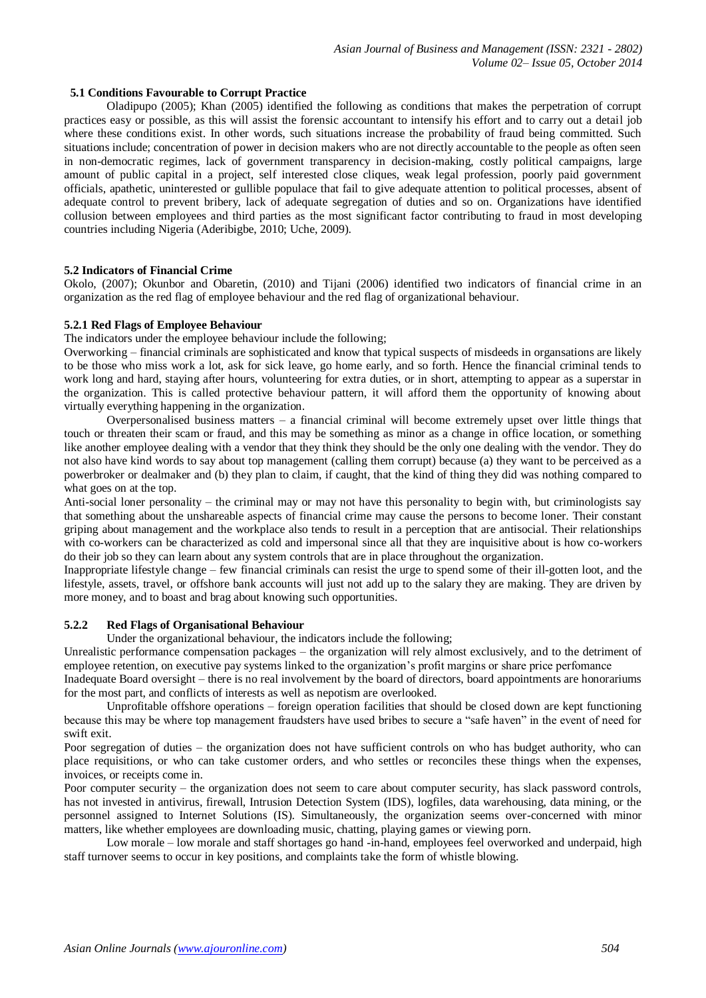# **5.1 Conditions Favourable to Corrupt Practice**

Oladipupo (2005); Khan (2005) identified the following as conditions that makes the perpetration of corrupt practices easy or possible, as this will assist the forensic accountant to intensify his effort and to carry out a detail job where these conditions exist. In other words, such situations increase the probability of fraud being committed. Such situations include; concentration of power in decision makers who are not directly accountable to the people as often seen in non-democratic regimes, lack of government transparency in decision-making, costly political campaigns, large amount of public capital in a project, self interested close cliques, weak legal profession, poorly paid government officials, apathetic, uninterested or gullible populace that fail to give adequate attention to political processes, absent of adequate control to prevent bribery, lack of adequate segregation of duties and so on. Organizations have identified collusion between employees and third parties as the most significant factor contributing to fraud in most developing countries including Nigeria (Aderibigbe, 2010; Uche, 2009).

## **5.2 Indicators of Financial Crime**

Okolo, (2007); Okunbor and Obaretin, (2010) and Tijani (2006) identified two indicators of financial crime in an organization as the red flag of employee behaviour and the red flag of organizational behaviour.

#### **5.2.1 Red Flags of Employee Behaviour**

The indicators under the employee behaviour include the following;

Overworking – financial criminals are sophisticated and know that typical suspects of misdeeds in organsations are likely to be those who miss work a lot, ask for sick leave, go home early, and so forth. Hence the financial criminal tends to work long and hard, staying after hours, volunteering for extra duties, or in short, attempting to appear as a superstar in the organization. This is called protective behaviour pattern, it will afford them the opportunity of knowing about virtually everything happening in the organization.

Overpersonalised business matters – a financial criminal will become extremely upset over little things that touch or threaten their scam or fraud, and this may be something as minor as a change in office location, or something like another employee dealing with a vendor that they think they should be the only one dealing with the vendor. They do not also have kind words to say about top management (calling them corrupt) because (a) they want to be perceived as a powerbroker or dealmaker and (b) they plan to claim, if caught, that the kind of thing they did was nothing compared to what goes on at the top.

Anti-social loner personality – the criminal may or may not have this personality to begin with, but criminologists say that something about the unshareable aspects of financial crime may cause the persons to become loner. Their constant griping about management and the workplace also tends to result in a perception that are antisocial. Their relationships with co-workers can be characterized as cold and impersonal since all that they are inquisitive about is how co-workers do their job so they can learn about any system controls that are in place throughout the organization.

Inappropriate lifestyle change – few financial criminals can resist the urge to spend some of their ill-gotten loot, and the lifestyle, assets, travel, or offshore bank accounts will just not add up to the salary they are making. They are driven by more money, and to boast and brag about knowing such opportunities.

#### **5.2.2 Red Flags of Organisational Behaviour**

Under the organizational behaviour, the indicators include the following;

Unrealistic performance compensation packages – the organization will rely almost exclusively, and to the detriment of employee retention, on executive pay systems linked to the organization's profit margins or share price perfomance

Inadequate Board oversight – there is no real involvement by the board of directors, board appointments are honorariums for the most part, and conflicts of interests as well as nepotism are overlooked.

Unprofitable offshore operations – foreign operation facilities that should be closed down are kept functioning because this may be where top management fraudsters have used bribes to secure a "safe haven" in the event of need for swift exit.

Poor segregation of duties – the organization does not have sufficient controls on who has budget authority, who can place requisitions, or who can take customer orders, and who settles or reconciles these things when the expenses, invoices, or receipts come in.

Poor computer security – the organization does not seem to care about computer security, has slack password controls, has not invested in antivirus, firewall, Intrusion Detection System (IDS), logfiles, data warehousing, data mining, or the personnel assigned to Internet Solutions (IS). Simultaneously, the organization seems over-concerned with minor matters, like whether employees are downloading music, chatting, playing games or viewing porn.

Low morale – low morale and staff shortages go hand -in-hand, employees feel overworked and underpaid, high staff turnover seems to occur in key positions, and complaints take the form of whistle blowing.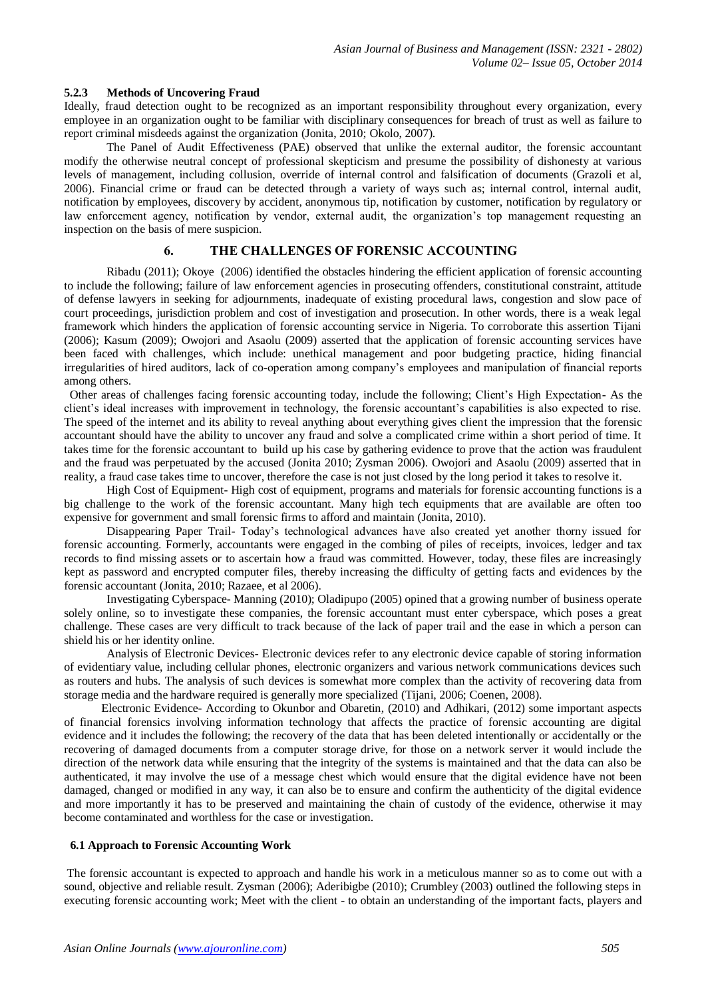## **5.2.3 Methods of Uncovering Fraud**

Ideally, fraud detection ought to be recognized as an important responsibility throughout every organization, every employee in an organization ought to be familiar with disciplinary consequences for breach of trust as well as failure to report criminal misdeeds against the organization (Jonita, 2010; Okolo, 2007).

The Panel of Audit Effectiveness (PAE) observed that unlike the external auditor, the forensic accountant modify the otherwise neutral concept of professional skepticism and presume the possibility of dishonesty at various levels of management, including collusion, override of internal control and falsification of documents (Grazoli et al, 2006). Financial crime or fraud can be detected through a variety of ways such as; internal control, internal audit, notification by employees, discovery by accident, anonymous tip, notification by customer, notification by regulatory or law enforcement agency, notification by vendor, external audit, the organization's top management requesting an inspection on the basis of mere suspicion.

# **6. THE CHALLENGES OF FORENSIC ACCOUNTING**

Ribadu (2011); Okoye (2006) identified the obstacles hindering the efficient application of forensic accounting to include the following; failure of law enforcement agencies in prosecuting offenders, constitutional constraint, attitude of defense lawyers in seeking for adjournments, inadequate of existing procedural laws, congestion and slow pace of court proceedings, jurisdiction problem and cost of investigation and prosecution. In other words, there is a weak legal framework which hinders the application of forensic accounting service in Nigeria. To corroborate this assertion Tijani (2006); Kasum (2009); Owojori and Asaolu (2009) asserted that the application of forensic accounting services have been faced with challenges, which include: unethical management and poor budgeting practice, hiding financial irregularities of hired auditors, lack of co-operation among company's employees and manipulation of financial reports among others.

Other areas of challenges facing forensic accounting today, include the following; Client's High Expectation- As the client's ideal increases with improvement in technology, the forensic accountant's capabilities is also expected to rise. The speed of the internet and its ability to reveal anything about everything gives client the impression that the forensic accountant should have the ability to uncover any fraud and solve a complicated crime within a short period of time. It takes time for the forensic accountant to build up his case by gathering evidence to prove that the action was fraudulent and the fraud was perpetuated by the accused (Jonita 2010; Zysman 2006). Owojori and Asaolu (2009) asserted that in reality, a fraud case takes time to uncover, therefore the case is not just closed by the long period it takes to resolve it.

High Cost of Equipment- High cost of equipment, programs and materials for forensic accounting functions is a big challenge to the work of the forensic accountant. Many high tech equipments that are available are often too expensive for government and small forensic firms to afford and maintain (Jonita, 2010).

Disappearing Paper Trail- Today's technological advances have also created yet another thorny issued for forensic accounting. Formerly, accountants were engaged in the combing of piles of receipts, invoices, ledger and tax records to find missing assets or to ascertain how a fraud was committed. However, today, these files are increasingly kept as password and encrypted computer files, thereby increasing the difficulty of getting facts and evidences by the forensic accountant (Jonita, 2010; Razaee, et al 2006).

Investigating Cyberspace- Manning (2010); Oladipupo (2005) opined that a growing number of business operate solely online, so to investigate these companies, the forensic accountant must enter cyberspace, which poses a great challenge. These cases are very difficult to track because of the lack of paper trail and the ease in which a person can shield his or her identity online.

Analysis of Electronic Devices- Electronic devices refer to any electronic device capable of storing information of evidentiary value, including cellular phones, electronic organizers and various network communications devices such as routers and hubs. The analysis of such devices is somewhat more complex than the activity of recovering data from storage media and the hardware required is generally more specialized (Tijani, 2006; Coenen, 2008).

Electronic Evidence- According to Okunbor and Obaretin, (2010) and Adhikari, (2012) some important aspects of financial forensics involving information technology that affects the practice of forensic accounting are digital evidence and it includes the following; the recovery of the data that has been deleted intentionally or accidentally or the recovering of damaged documents from a computer storage drive, for those on a network server it would include the direction of the network data while ensuring that the integrity of the systems is maintained and that the data can also be authenticated, it may involve the use of a message chest which would ensure that the digital evidence have not been damaged, changed or modified in any way, it can also be to ensure and confirm the authenticity of the digital evidence and more importantly it has to be preserved and maintaining the chain of custody of the evidence, otherwise it may become contaminated and worthless for the case or investigation.

#### **6.1 Approach to Forensic Accounting Work**

The forensic accountant is expected to approach and handle his work in a meticulous manner so as to come out with a sound, objective and reliable result. Zysman (2006); Aderibigbe (2010); Crumbley (2003) outlined the following steps in executing forensic accounting work; Meet with the client - to obtain an understanding of the important facts, players and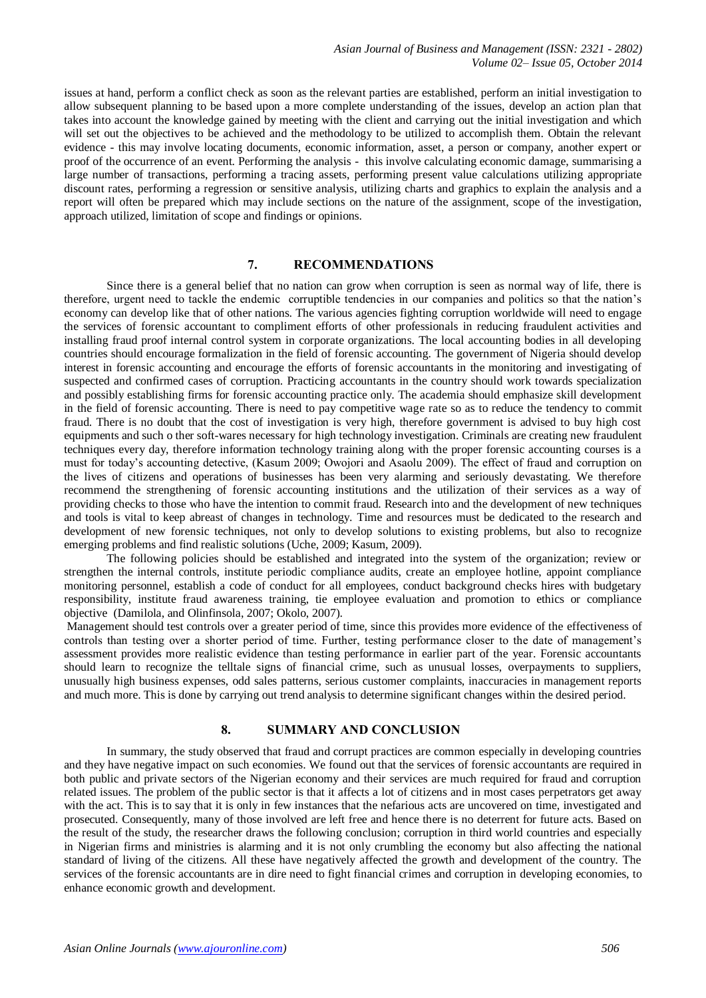issues at hand, perform a conflict check as soon as the relevant parties are established, perform an initial investigation to allow subsequent planning to be based upon a more complete understanding of the issues, develop an action plan that takes into account the knowledge gained by meeting with the client and carrying out the initial investigation and which will set out the objectives to be achieved and the methodology to be utilized to accomplish them. Obtain the relevant evidence - this may involve locating documents, economic information, asset, a person or company, another expert or proof of the occurrence of an event. Performing the analysis - this involve calculating economic damage, summarising a large number of transactions, performing a tracing assets, performing present value calculations utilizing appropriate discount rates, performing a regression or sensitive analysis, utilizing charts and graphics to explain the analysis and a report will often be prepared which may include sections on the nature of the assignment, scope of the investigation, approach utilized, limitation of scope and findings or opinions.

# **7. RECOMMENDATIONS**

Since there is a general belief that no nation can grow when corruption is seen as normal way of life, there is therefore, urgent need to tackle the endemic corruptible tendencies in our companies and politics so that the nation's economy can develop like that of other nations. The various agencies fighting corruption worldwide will need to engage the services of forensic accountant to compliment efforts of other professionals in reducing fraudulent activities and installing fraud proof internal control system in corporate organizations. The local accounting bodies in all developing countries should encourage formalization in the field of forensic accounting. The government of Nigeria should develop interest in forensic accounting and encourage the efforts of forensic accountants in the monitoring and investigating of suspected and confirmed cases of corruption. Practicing accountants in the country should work towards specialization and possibly establishing firms for forensic accounting practice only. The academia should emphasize skill development in the field of forensic accounting. There is need to pay competitive wage rate so as to reduce the tendency to commit fraud. There is no doubt that the cost of investigation is very high, therefore government is advised to buy high cost equipments and such o ther soft-wares necessary for high technology investigation. Criminals are creating new fraudulent techniques every day, therefore information technology training along with the proper forensic accounting courses is a must for today's accounting detective, (Kasum 2009; Owojori and Asaolu 2009). The effect of fraud and corruption on the lives of citizens and operations of businesses has been very alarming and seriously devastating. We therefore recommend the strengthening of forensic accounting institutions and the utilization of their services as a way of providing checks to those who have the intention to commit fraud. Research into and the development of new techniques and tools is vital to keep abreast of changes in technology. Time and resources must be dedicated to the research and development of new forensic techniques, not only to develop solutions to existing problems, but also to recognize emerging problems and find realistic solutions (Uche, 2009; Kasum, 2009).

The following policies should be established and integrated into the system of the organization; review or strengthen the internal controls, institute periodic compliance audits, create an employee hotline, appoint compliance monitoring personnel, establish a code of conduct for all employees, conduct background checks hires with budgetary responsibility, institute fraud awareness training, tie employee evaluation and promotion to ethics or compliance objective (Damilola, and Olinfinsola, 2007; Okolo, 2007).

Management should test controls over a greater period of time, since this provides more evidence of the effectiveness of controls than testing over a shorter period of time. Further, testing performance closer to the date of management's assessment provides more realistic evidence than testing performance in earlier part of the year. Forensic accountants should learn to recognize the telltale signs of financial crime, such as unusual losses, overpayments to suppliers, unusually high business expenses, odd sales patterns, serious customer complaints, inaccuracies in management reports and much more. This is done by carrying out trend analysis to determine significant changes within the desired period.

## **8. SUMMARY AND CONCLUSION**

In summary, the study observed that fraud and corrupt practices are common especially in developing countries and they have negative impact on such economies. We found out that the services of forensic accountants are required in both public and private sectors of the Nigerian economy and their services are much required for fraud and corruption related issues. The problem of the public sector is that it affects a lot of citizens and in most cases perpetrators get away with the act. This is to say that it is only in few instances that the nefarious acts are uncovered on time, investigated and prosecuted. Consequently, many of those involved are left free and hence there is no deterrent for future acts. Based on the result of the study, the researcher draws the following conclusion; corruption in third world countries and especially in Nigerian firms and ministries is alarming and it is not only crumbling the economy but also affecting the national standard of living of the citizens. All these have negatively affected the growth and development of the country. The services of the forensic accountants are in dire need to fight financial crimes and corruption in developing economies, to enhance economic growth and development.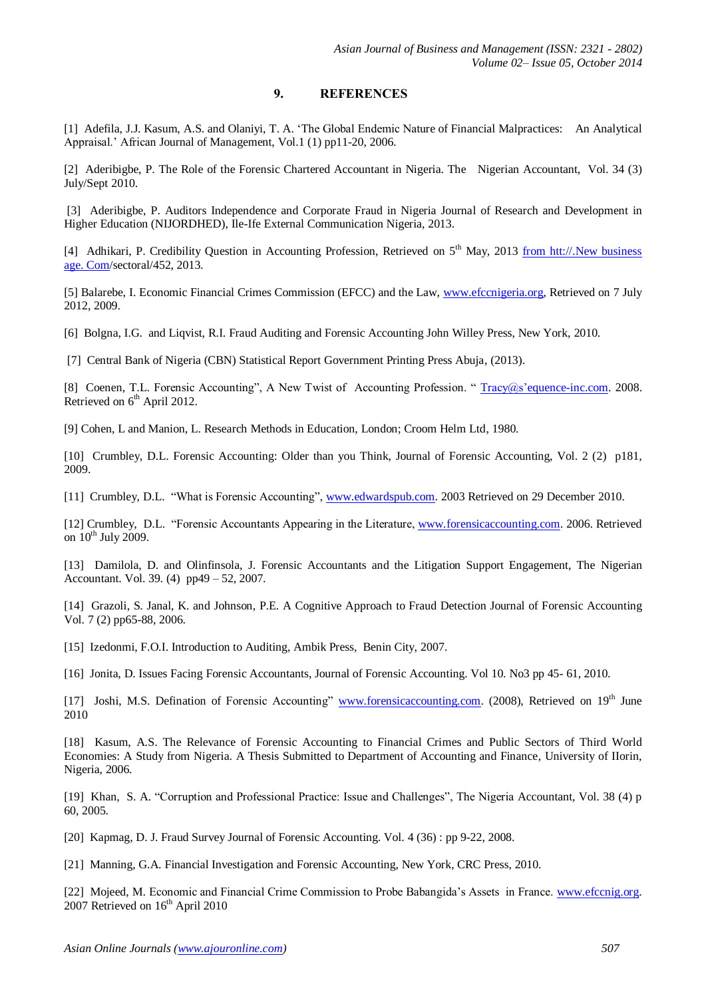# **9. REFERENCES**

[1] Adefila, J.J. Kasum, A.S. and Olaniyi, T. A. 'The Global Endemic Nature of Financial Malpractices: An Analytical Appraisal.' African Journal of Management, Vol.1 (1) pp11-20, 2006.

[2] Aderibigbe, P. The Role of the Forensic Chartered Accountant in Nigeria. The Nigerian Accountant, Vol. 34 (3) July/Sept 2010.

[3] Aderibigbe, P. Auditors Independence and Corporate Fraud in Nigeria Journal of Research and Development in Higher Education (NIJORDHED), Ile-Ife External Communication Nigeria, 2013.

[4] Adhikari, P. Credibility Question in Accounting Profession, Retrieved on 5<sup>th</sup> May, 2013 from htt://.New business age. Com/sectoral/452, 2013.

[5] Balarebe, I. Economic Financial Crimes Commission (EFCC) and the Law[, www.efccnigeria.org,](http://www.efccnigeria.org/) Retrieved on 7 July 2012, 2009.

[6] Bolgna, I.G. and Liqvist, R.I. Fraud Auditing and Forensic Accounting John Willey Press, New York, 2010.

[7] Central Bank of Nigeria (CBN) Statistical Report Government Printing Press Abuja, (2013).

[8] Coenen, T.L. Forensic Accounting", A New Twist of Accounting Profession. "Tracy@s'equence-inc.com. 2008. Retrieved on 6<sup>th</sup> April 2012.

[9] Cohen, L and Manion, L. Research Methods in Education, London; Croom Helm Ltd, 1980.

[10] Crumbley, D.L. Forensic Accounting: Older than you Think, Journal of Forensic Accounting, Vol. 2 (2) p181, 2009.

[11] Crumbley, D.L. "What is Forensic Accounting", [www.edwardspub.com.](http://www.edwardspub.com/) 2003 Retrieved on 29 December 2010.

[12] Crumbley, D.L. "Forensic Accountants Appearing in the Literature, [www.forensicaccounting.com.](http://www.forensicaccounting.com/) 2006. Retrieved on  $10^{th}$  July 2009.

[13] Damilola, D. and Olinfinsola, J. Forensic Accountants and the Litigation Support Engagement, The Nigerian Accountant. Vol. 39. (4) pp49 – 52, 2007.

[14] Grazoli, S. Janal, K. and Johnson, P.E. A Cognitive Approach to Fraud Detection Journal of Forensic Accounting Vol. 7 (2) pp65-88, 2006.

[15] Izedonmi, F.O.I. Introduction to Auditing, Ambik Press, Benin City, 2007.

[16] Jonita, D. Issues Facing Forensic Accountants, Journal of Forensic Accounting. Vol 10. No3 pp 45- 61, 2010.

[17] Joshi, M.S. Defination of Forensic Accounting" [www.forensicaccounting.com.](http://www.forensicaccounting.com/) (2008), Retrieved on 19<sup>th</sup> June 2010

[18] Kasum, A.S. The Relevance of Forensic Accounting to Financial Crimes and Public Sectors of Third World Economies: A Study from Nigeria. A Thesis Submitted to Department of Accounting and Finance, University of IIorin, Nigeria, 2006.

[19] Khan, S. A. "Corruption and Professional Practice: Issue and Challenges", The Nigeria Accountant, Vol. 38 (4) p 60, 2005.

[20] Kapmag, D. J. Fraud Survey Journal of Forensic Accounting. Vol. 4 (36) : pp 9-22, 2008.

[21] Manning, G.A. Financial Investigation and Forensic Accounting, New York, CRC Press, 2010.

[22] Mojeed, M. Economic and Financial Crime Commission to Probe Babangida's Assets in France. [www.efccnig.org.](http://www.efccnig.org/) 2007 Retrieved on 16<sup>th</sup> April 2010